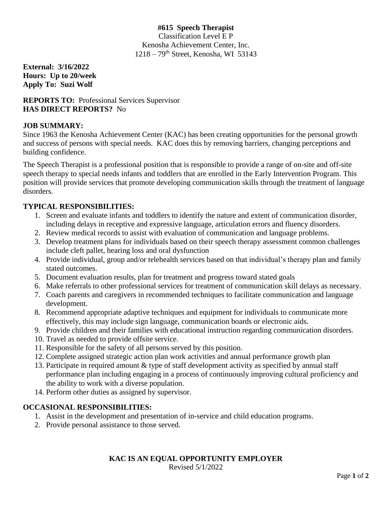### **#615 Speech Therapist** Classification Level E P Kenosha Achievement Center, Inc.  $1218 - 79$ <sup>th</sup> Street, Kenosha, WI 53143

**External: 3/16/2022 Hours: Up to 20/week Apply To: Suzi Wolf**

## **REPORTS TO:** Professional Services Supervisor **HAS DIRECT REPORTS?** No

# **JOB SUMMARY:**

Since 1963 the Kenosha Achievement Center (KAC) has been creating opportunities for the personal growth and success of persons with special needs. KAC does this by removing barriers, changing perceptions and building confidence.

The Speech Therapist is a professional position that is responsible to provide a range of on-site and off-site speech therapy to special needs infants and toddlers that are enrolled in the Early Intervention Program. This position will provide services that promote developing communication skills through the treatment of language disorders.

## **TYPICAL RESPONSIBILITIES:**

- 1. Screen and evaluate infants and toddlers to identify the nature and extent of communication disorder, including delays in receptive and expressive language, articulation errors and fluency disorders.
- 2. Review medical records to assist with evaluation of communication and language problems.
- 3. Develop treatment plans for individuals based on their speech therapy assessment common challenges include cleft pallet, hearing loss and oral dysfunction
- 4. Provide individual, group and/or telehealth services based on that individual's therapy plan and family stated outcomes.
- 5. Document evaluation results, plan for treatment and progress toward stated goals
- 6. Make referrals to other professional services for treatment of communication skill delays as necessary.
- 7. Coach parents and caregivers in recommended techniques to facilitate communication and language development.
- 8. Recommend appropriate adaptive techniques and equipment for individuals to communicate more effectively, this may include sign language, communication boards or electronic aids.
- 9. Provide children and their families with educational instruction regarding communication disorders.
- 10. Travel as needed to provide offsite service.
- 11. Responsible for the safety of all persons served by this position.
- 12. Complete assigned strategic action plan work activities and annual performance growth plan
- 13. Participate in required amount & type of staff development activity as specified by annual staff performance plan including engaging in a process of continuously improving cultural proficiency and the ability to work with a diverse population.
- 14. Perform other duties as assigned by supervisor.

### **OCCASIONAL RESPONSIBILITIES:**

- 1. Assist in the development and presentation of in-service and child education programs.
- 2. Provide personal assistance to those served.

# **KAC IS AN EQUAL OPPORTUNITY EMPLOYER**

Revised 5/1/2022